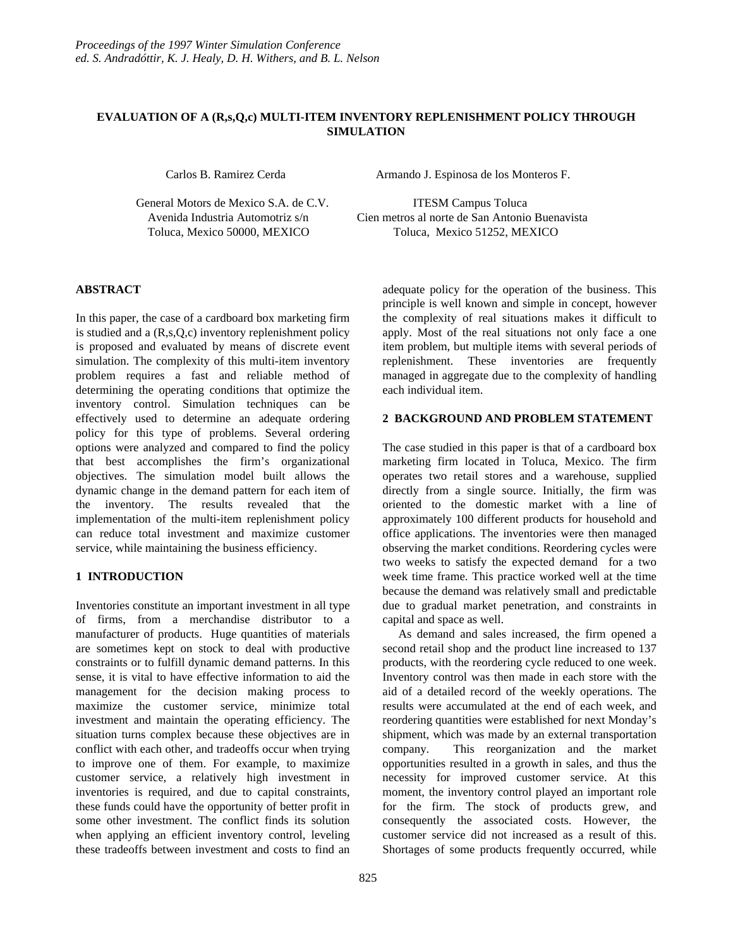# **EVALUATION OF A (R,s,Q,c) MULTI-ITEM INVENTORY REPLENISHMENT POLICY THROUGH SIMULATION**

General Motors de Mexico S.A. de C.V. ITESM Campus Toluca

Carlos B. Ramirez Cerda Armando J. Espinosa de los Monteros F.

 Avenida Industria Automotriz s/n Cien metros al norte de San Antonio Buenavista Toluca, Mexico 50000, MEXICO Toluca, Mexico 51252, MEXICO

# **ABSTRACT**

In this paper, the case of a cardboard box marketing firm is studied and a (R,s,Q,c) inventory replenishment policy is proposed and evaluated by means of discrete event simulation. The complexity of this multi-item inventory problem requires a fast and reliable method of determining the operating conditions that optimize the inventory control. Simulation techniques can be effectively used to determine an adequate ordering policy for this type of problems. Several ordering options were analyzed and compared to find the policy that best accomplishes the firm's organizational objectives. The simulation model built allows the dynamic change in the demand pattern for each item of the inventory. The results revealed that the implementation of the multi-item replenishment policy can reduce total investment and maximize customer service, while maintaining the business efficiency.

# **1 INTRODUCTION**

Inventories constitute an important investment in all type of firms, from a merchandise distributor to a manufacturer of products. Huge quantities of materials are sometimes kept on stock to deal with productive constraints or to fulfill dynamic demand patterns. In this sense, it is vital to have effective information to aid the management for the decision making process to maximize the customer service, minimize total investment and maintain the operating efficiency. The situation turns complex because these objectives are in conflict with each other, and tradeoffs occur when trying to improve one of them. For example, to maximize customer service, a relatively high investment in inventories is required, and due to capital constraints, these funds could have the opportunity of better profit in some other investment. The conflict finds its solution when applying an efficient inventory control, leveling these tradeoffs between investment and costs to find an adequate policy for the operation of the business. This principle is well known and simple in concept, however the complexity of real situations makes it difficult to apply. Most of the real situations not only face a one item problem, but multiple items with several periods of replenishment. These inventories are frequently managed in aggregate due to the complexity of handling each individual item.

# **2 BACKGROUND AND PROBLEM STATEMENT**

The case studied in this paper is that of a cardboard box marketing firm located in Toluca, Mexico. The firm operates two retail stores and a warehouse, supplied directly from a single source. Initially, the firm was oriented to the domestic market with a line of approximately 100 different products for household and office applications. The inventories were then managed observing the market conditions. Reordering cycles were two weeks to satisfy the expected demand for a two week time frame. This practice worked well at the time because the demand was relatively small and predictable due to gradual market penetration, and constraints in capital and space as well.

 As demand and sales increased, the firm opened a second retail shop and the product line increased to 137 products, with the reordering cycle reduced to one week. Inventory control was then made in each store with the aid of a detailed record of the weekly operations. The results were accumulated at the end of each week, and reordering quantities were established for next Monday's shipment, which was made by an external transportation company. This reorganization and the market opportunities resulted in a growth in sales, and thus the necessity for improved customer service. At this moment, the inventory control played an important role for the firm. The stock of products grew, and consequently the associated costs. However, the customer service did not increased as a result of this. Shortages of some products frequently occurred, while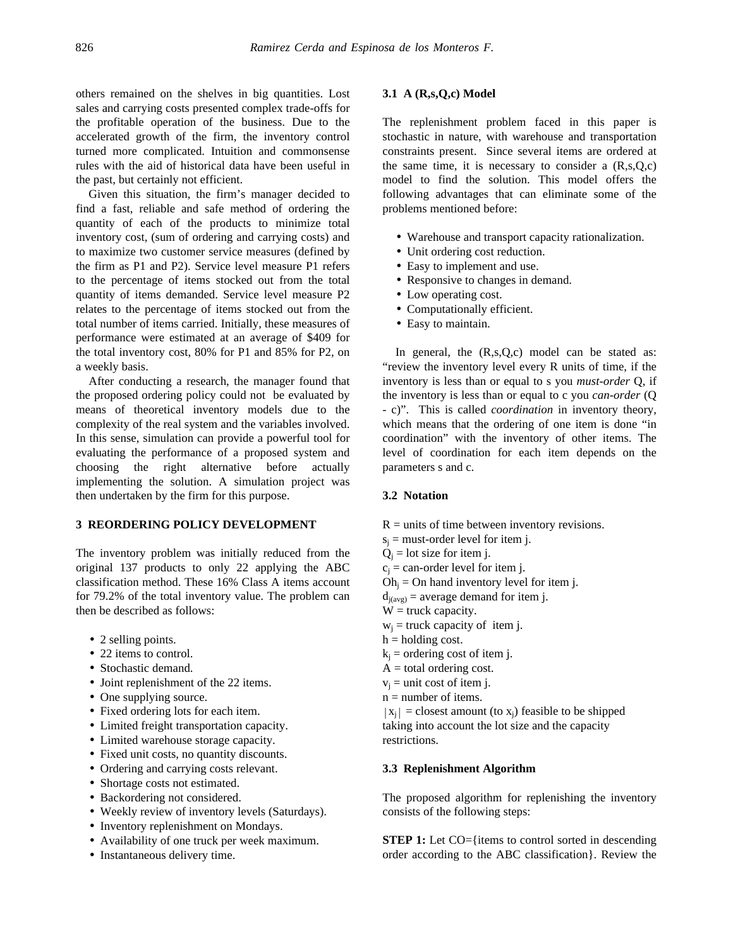others remained on the shelves in big quantities. Lost sales and carrying costs presented complex trade-offs for the profitable operation of the business. Due to the accelerated growth of the firm, the inventory control turned more complicated. Intuition and commonsense rules with the aid of historical data have been useful in the past, but certainly not efficient.

Given this situation, the firm's manager decided to find a fast, reliable and safe method of ordering the quantity of each of the products to minimize total inventory cost, (sum of ordering and carrying costs) and to maximize two customer service measures (defined by the firm as P1 and P2). Service level measure P1 refers to the percentage of items stocked out from the total quantity of items demanded. Service level measure P2 relates to the percentage of items stocked out from the total number of items carried. Initially, these measures of performance were estimated at an average of \$409 for the total inventory cost, 80% for P1 and 85% for P2, on a weekly basis.

After conducting a research, the manager found that the proposed ordering policy could not be evaluated by means of theoretical inventory models due to the complexity of the real system and the variables involved. In this sense, simulation can provide a powerful tool for evaluating the performance of a proposed system and choosing the right alternative before actually implementing the solution. A simulation project was then undertaken by the firm for this purpose.

#### **3 REORDERING POLICY DEVELOPMENT**

The inventory problem was initially reduced from the original 137 products to only 22 applying the ABC classification method. These 16% Class A items account for 79.2% of the total inventory value. The problem can then be described as follows:

- 2 selling points.
- 22 items to control.
- Stochastic demand.
- Joint replenishment of the 22 items.
- One supplying source.
- Fixed ordering lots for each item.
- Limited freight transportation capacity.
- Limited warehouse storage capacity.
- Fixed unit costs, no quantity discounts.
- Ordering and carrying costs relevant.
- Shortage costs not estimated.
- Backordering not considered.
- Weekly review of inventory levels (Saturdays).
- Inventory replenishment on Mondays.
- Availability of one truck per week maximum.
- Instantaneous delivery time.

#### **3.1 A (R,s,Q,c) Model**

The replenishment problem faced in this paper is stochastic in nature, with warehouse and transportation constraints present. Since several items are ordered at the same time, it is necessary to consider a  $(R,s,Q,c)$ model to find the solution. This model offers the following advantages that can eliminate some of the problems mentioned before:

- Warehouse and transport capacity rationalization.
- Unit ordering cost reduction.
- Easy to implement and use.
- Responsive to changes in demand.
- Low operating cost.
- Computationally efficient.
- Easy to maintain.

In general, the  $(R,s,Q,c)$  model can be stated as: "review the inventory level every R units of time, if the inventory is less than or equal to s you *must-order* Q, if the inventory is less than or equal to c you *can-order* (Q - c)". This is called *coordination* in inventory theory, which means that the ordering of one item is done "in coordination" with the inventory of other items. The level of coordination for each item depends on the parameters s and c.

#### **3.2 Notation**

- $R =$  units of time between inventory revisions.
- $s_i$  = must-order level for item j.
- $Q_i$  = lot size for item j.
- $c_i$  = can-order level for item j.
- $Oh<sub>i</sub> = On hand inventory level for item j.$
- $d_{i(\text{avg})}$  = average demand for item j.
- $W =$  truck capacity.
- $w_i$  = truck capacity of item j.
- $h =$  holding cost.
- $k<sub>i</sub>$  = ordering cost of item j.
- $A =$  total ordering cost.
- $v_i$  = unit cost of item j.
- $n =$  number of items.
- $|x_i|$  = closest amount (to  $x_i$ ) feasible to be shipped taking into account the lot size and the capacity restrictions.

#### **3.3 Replenishment Algorithm**

The proposed algorithm for replenishing the inventory consists of the following steps:

**STEP 1:** Let CO={items to control sorted in descending order according to the ABC classification}. Review the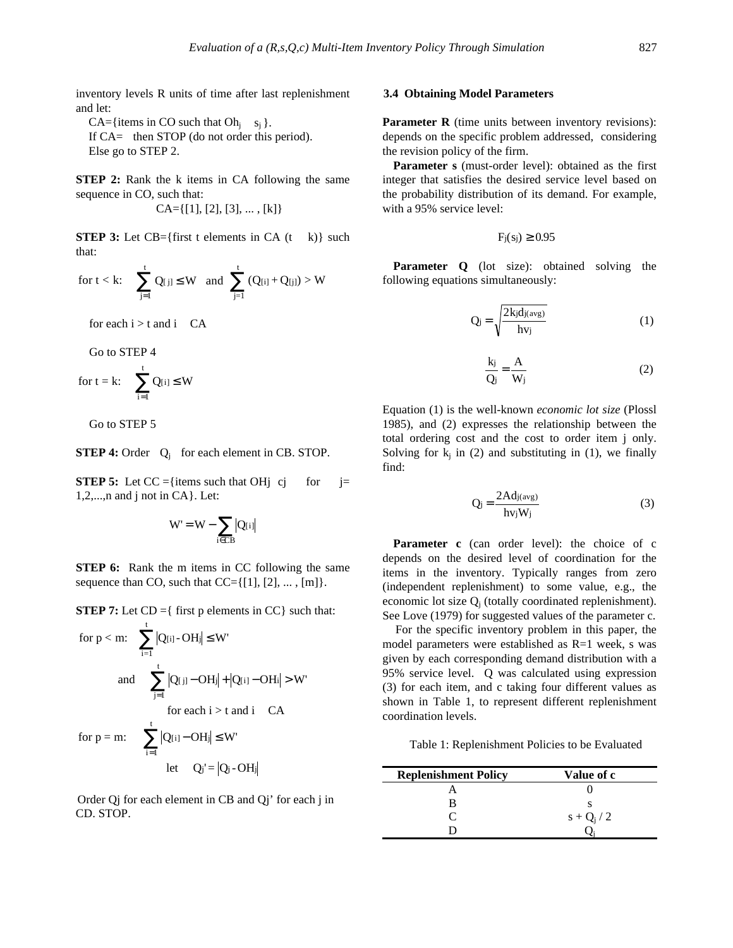inventory levels R units of time after last replenishment and let:

CA={items in CO such that  $Oh_i$  s<sub>i</sub> }. If CA= then STOP (do not order this period). Else go to STEP 2.

**STEP 2:** Rank the k items in CA following the same sequence in CO, such that:

 $CA=[[1], [2], [3], \ldots, [k]$ 

**STEP 3:** Let  $CB = \{$ first t elements in  $CA(t - k)$ } such that:

$$
\quad \text{for } t < k \colon \quad \sum_{j=1}^t Q_{[ \, j ]} \leq W \quad \text{and} \quad \sum_{j=1}^t \left( Q_{[i]} + Q_{[j]} \right) > W
$$

for each  $i > t$  and  $i$  CA

Go to STEP 4

$$
\quad \text{for } t=k\text{: } \quad \sum_{i=1}^t Q_{[i]}\leq W
$$

Go to STEP 5

**STEP 4:** Order Q<sub>i</sub> for each element in CB. STOP.

**STEP 5:** Let  $CC = \{ \text{items such that } OH\}$  cj for  $=$ 1,2,...,n and j not in CA}. Let:

$$
W'=W-\sum_{i\in CB}\bigl|Q_{[i]}\bigr|
$$

**STEP 6:** Rank the m items in CC following the same sequence than CO, such that  $CC=[1], [2], \ldots, [m]$ .

**STEP 7:** Let  $CD = \{$  first p elements in  $CC\}$  such that:

for p < m: 
$$
\sum_{i=1}^{t} |Q[i] - OHj| \leq W'
$$
  
and 
$$
\sum_{j=1}^{t} |Q[j] - OHj| + |Q[i] - OHi| > W'
$$
  
for each i > t and i CA

$$
\text{for } p = m: \quad \sum_{i=1}^n |Q_{[i]} - OH_i| \leq W'
$$

$$
let \qquad Q_j' = |Q_j - OH_j|
$$

Order Qj for each element in CB and Qj' for each j in CD. STOP.

#### **3.4 Obtaining Model Parameters**

**Parameter R** (time units between inventory revisions): depends on the specific problem addressed, considering the revision policy of the firm.

**Parameter s** (must-order level): obtained as the first integer that satisfies the desired service level based on the probability distribution of its demand. For example, with a 95% service level:

$$
F_j(s_j) \geq 0.95
$$

**Parameter Q** (lot size): obtained solving the following equations simultaneously:

$$
Q_j = \sqrt{\frac{2k_j d_{j(\text{avg})}}{hv_j}}
$$
 (1)

$$
\frac{k_j}{Q_j} = \frac{A}{W_j}
$$
 (2)

Equation (1) is the well-known *economic lot size* (Plossl 1985), and (2) expresses the relationship between the total ordering cost and the cost to order item j only. Solving for  $k_i$  in (2) and substituting in (1), we finally find:

$$
Q_j = \frac{2 \text{Adj}(avg)}{\text{hv}_j W_j} \tag{3}
$$

Parameter c (can order level): the choice of c depends on the desired level of coordination for the items in the inventory. Typically ranges from zero (independent replenishment) to some value, e.g., the economic lot size  $Q_i$  (totally coordinated replenishment). See Love (1979) for suggested values of the parameter c.

For the specific inventory problem in this paper, the model parameters were established as R=1 week, s was given by each corresponding demand distribution with a 95% service level. Q was calculated using expression (3) for each item, and c taking four different values as shown in Table 1, to represent different replenishment coordination levels.

Table 1: Replenishment Policies to be Evaluated

| <b>Replenishment Policy</b> | Value of c    |
|-----------------------------|---------------|
|                             |               |
|                             |               |
|                             | $s + Q_i / 2$ |
|                             |               |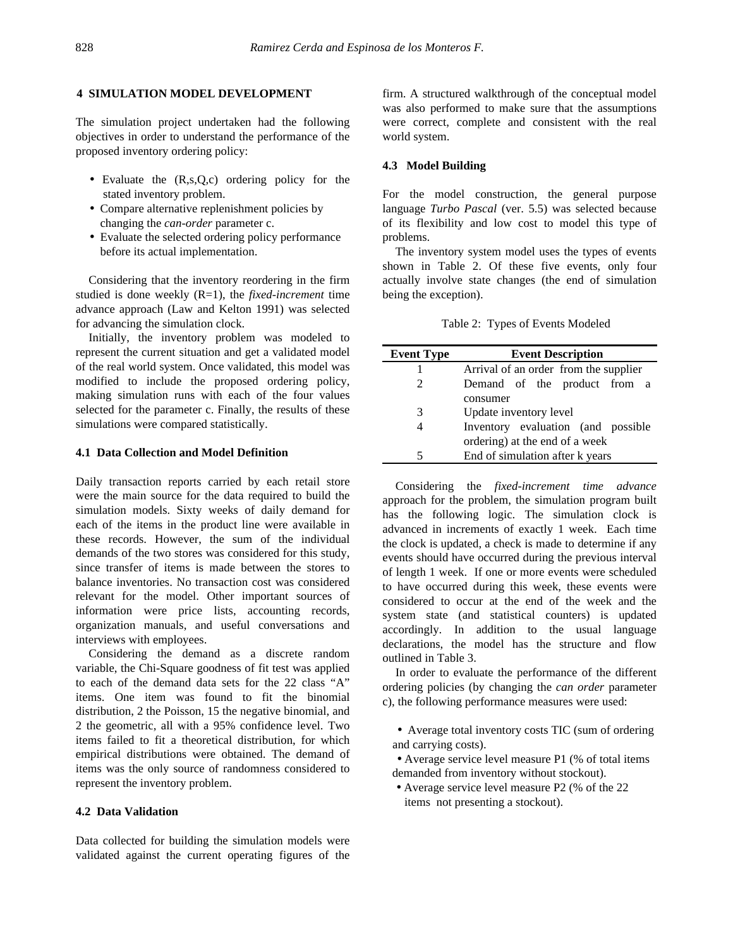### **4 SIMULATION MODEL DEVELOPMENT**

The simulation project undertaken had the following objectives in order to understand the performance of the proposed inventory ordering policy:

- Evaluate the (R,s,Q,c) ordering policy for the stated inventory problem.
- Compare alternative replenishment policies by changing the *can-order* parameter c.
- Evaluate the selected ordering policy performance before its actual implementation.

Considering that the inventory reordering in the firm studied is done weekly (R=1), the *fixed-increment* time advance approach (Law and Kelton 1991) was selected for advancing the simulation clock.

Initially, the inventory problem was modeled to represent the current situation and get a validated model of the real world system. Once validated, this model was modified to include the proposed ordering policy, making simulation runs with each of the four values selected for the parameter c. Finally, the results of these simulations were compared statistically.

### **4.1 Data Collection and Model Definition**

Daily transaction reports carried by each retail store were the main source for the data required to build the simulation models. Sixty weeks of daily demand for each of the items in the product line were available in these records. However, the sum of the individual demands of the two stores was considered for this study, since transfer of items is made between the stores to balance inventories. No transaction cost was considered relevant for the model. Other important sources of information were price lists, accounting records, organization manuals, and useful conversations and interviews with employees.

Considering the demand as a discrete random variable, the Chi-Square goodness of fit test was applied to each of the demand data sets for the 22 class "A" items. One item was found to fit the binomial distribution, 2 the Poisson, 15 the negative binomial, and 2 the geometric, all with a 95% confidence level. Two items failed to fit a theoretical distribution, for which empirical distributions were obtained. The demand of items was the only source of randomness considered to represent the inventory problem.

#### **4.2 Data Validation**

Data collected for building the simulation models were validated against the current operating figures of the firm. A structured walkthrough of the conceptual model was also performed to make sure that the assumptions were correct, complete and consistent with the real world system.

#### **4.3 Model Building**

For the model construction, the general purpose language *Turbo Pascal* (ver. 5.5) was selected because of its flexibility and low cost to model this type of problems.

The inventory system model uses the types of events shown in Table 2. Of these five events, only four actually involve state changes (the end of simulation being the exception).

Table 2: Types of Events Modeled

| <b>Event Type</b> | <b>Event Description</b>              |  |  |
|-------------------|---------------------------------------|--|--|
|                   | Arrival of an order from the supplier |  |  |
| $\mathfrak{D}$    | Demand of the product from a          |  |  |
|                   | consumer                              |  |  |
| 3                 | Update inventory level                |  |  |
| 4                 | Inventory evaluation (and possible    |  |  |
|                   | ordering) at the end of a week        |  |  |
| 5                 | End of simulation after k years       |  |  |

Considering the *fixed-increment time advance* approach for the problem, the simulation program built has the following logic. The simulation clock is advanced in increments of exactly 1 week. Each time the clock is updated, a check is made to determine if any events should have occurred during the previous interval of length 1 week. If one or more events were scheduled to have occurred during this week, these events were considered to occur at the end of the week and the system state (and statistical counters) is updated accordingly. In addition to the usual language declarations, the model has the structure and flow outlined in Table 3.

In order to evaluate the performance of the different ordering policies (by changing the *can order* parameter c), the following performance measures were used:

• Average total inventory costs TIC (sum of ordering and carrying costs).

• Average service level measure P1 (% of total items demanded from inventory without stockout).

• Average service level measure P2 (% of the 22 items not presenting a stockout).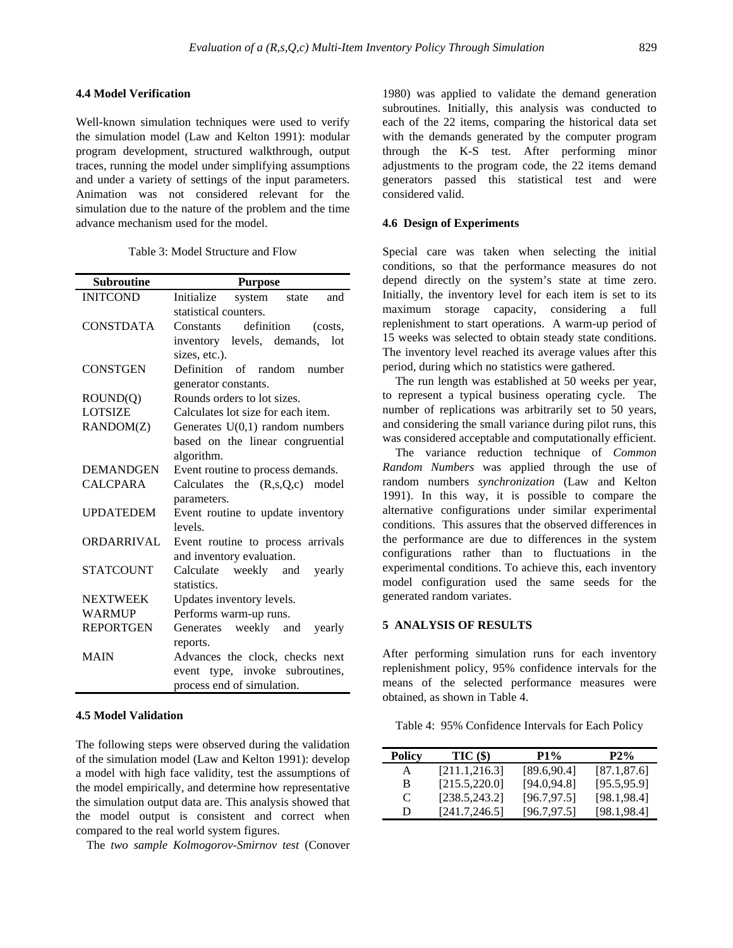### **4.4 Model Verification**

Well-known simulation techniques were used to verify the simulation model (Law and Kelton 1991): modular program development, structured walkthrough, output traces, running the model under simplifying assumptions and under a variety of settings of the input parameters. Animation was not considered relevant for the simulation due to the nature of the problem and the time advance mechanism used for the model.

|  |  | Table 3: Model Structure and Flow |  |  |
|--|--|-----------------------------------|--|--|
|--|--|-----------------------------------|--|--|

| <b>Subroutine</b> | <b>Purpose</b>                         |  |  |
|-------------------|----------------------------------------|--|--|
| <b>INITCOND</b>   | Initialize<br>system state<br>and      |  |  |
|                   | statistical counters.                  |  |  |
| <b>CONSTDATA</b>  | definition<br>Constants<br>(costs,     |  |  |
|                   | levels, demands,<br>inventory<br>lot   |  |  |
|                   | sizes, etc.).                          |  |  |
| <b>CONSTGEN</b>   | Definition of random<br>number         |  |  |
|                   | generator constants.                   |  |  |
| ROUND(Q)          | Rounds orders to lot sizes.            |  |  |
| <b>LOTSIZE</b>    | Calculates lot size for each item.     |  |  |
| RANDOM(Z)         | Generates $U(0,1)$ random numbers      |  |  |
|                   | based on the linear congruential       |  |  |
|                   | algorithm.                             |  |  |
| <b>DEMANDGEN</b>  | Event routine to process demands.      |  |  |
| <b>CALCPARA</b>   | Calculates the $(R, s, Q, c)$<br>model |  |  |
|                   | parameters.                            |  |  |
| <b>UPDATEDEM</b>  | Event routine to update inventory      |  |  |
|                   | levels                                 |  |  |
| ORDARRIVAL        | Event routine to process arrivals      |  |  |
|                   | and inventory evaluation.              |  |  |
| <b>STATCOUNT</b>  | Calculate weekly and<br>yearly         |  |  |
|                   | statistics.                            |  |  |
| <b>NEXTWEEK</b>   | Updates inventory levels.              |  |  |
| <b>WARMUP</b>     | Performs warm-up runs.                 |  |  |
| <b>REPORTGEN</b>  | Generates weekly and<br>yearly         |  |  |
|                   | reports.                               |  |  |
| <b>MAIN</b>       | Advances the clock, checks next        |  |  |
|                   | event type, invoke subroutines,        |  |  |
|                   | process end of simulation.             |  |  |

#### **4.5 Model Validation**

The following steps were observed during the validation of the simulation model (Law and Kelton 1991): develop a model with high face validity, test the assumptions of the model empirically, and determine how representative the simulation output data are. This analysis showed that the model output is consistent and correct when compared to the real world system figures.

The *two sample Kolmogorov-Smirnov test* (Conover

1980) was applied to validate the demand generation subroutines. Initially, this analysis was conducted to each of the 22 items, comparing the historical data set with the demands generated by the computer program through the K-S test. After performing minor adjustments to the program code, the 22 items demand generators passed this statistical test and were considered valid.

### **4.6 Design of Experiments**

Special care was taken when selecting the initial conditions, so that the performance measures do not depend directly on the system's state at time zero. Initially, the inventory level for each item is set to its maximum storage capacity, considering a full replenishment to start operations. A warm-up period of 15 weeks was selected to obtain steady state conditions. The inventory level reached its average values after this period, during which no statistics were gathered.

The run length was established at 50 weeks per year, to represent a typical business operating cycle. The number of replications was arbitrarily set to 50 years, and considering the small variance during pilot runs, this was considered acceptable and computationally efficient.

The variance reduction technique of *Common Random Numbers* was applied through the use of random numbers *synchronization* (Law and Kelton 1991). In this way, it is possible to compare the alternative configurations under similar experimental conditions. This assures that the observed differences in the performance are due to differences in the system configurations rather than to fluctuations in the experimental conditions. To achieve this, each inventory model configuration used the same seeds for the generated random variates.

### **5 ANALYSIS OF RESULTS**

After performing simulation runs for each inventory replenishment policy, 95% confidence intervals for the means of the selected performance measures were obtained, as shown in Table 4.

Table 4: 95% Confidence Intervals for Each Policy

| Policy | TIC(\$)        | P1%          | $P2\%$       |
|--------|----------------|--------------|--------------|
| А      | [211.1, 216.3] | [89.6, 90.4] | [87.1, 87.6] |
| B      | [215.5, 220.0] | [94.0, 94.8] | [95.5, 95.9] |
| C      | [238.5, 243.2] | [96.7, 97.5] | [98.1, 98.4] |
| D      | [241.7, 246.5] | [96.7, 97.5] | [98.1, 98.4] |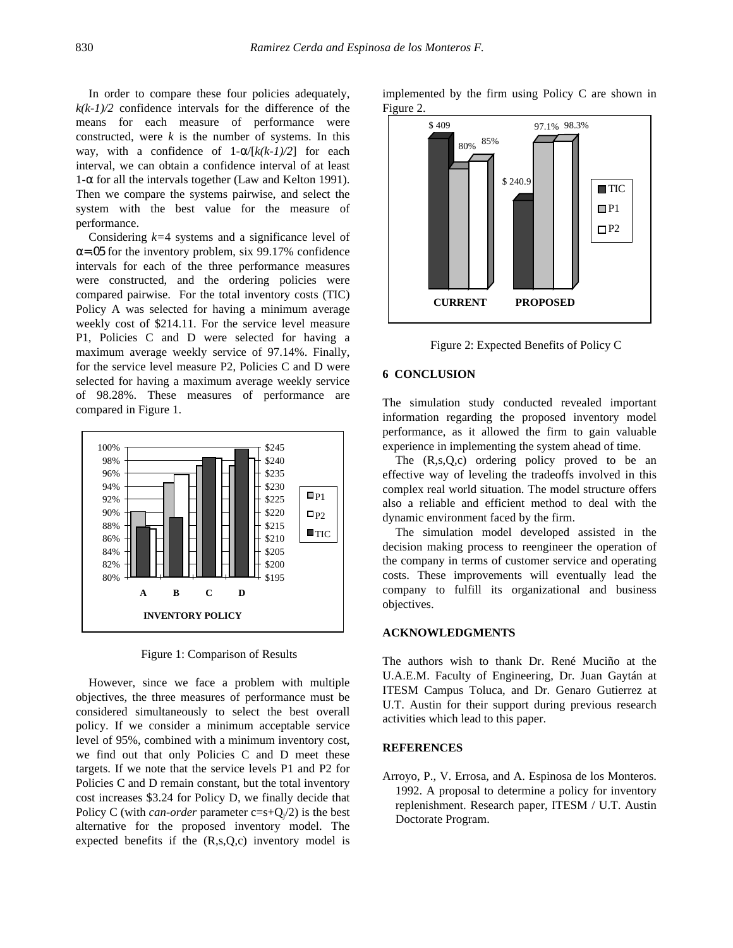In order to compare these four policies adequately,  $k(k-1)/2$  confidence intervals for the difference of the means for each measure of performance were constructed, were  $k$  is the number of systems. In this way, with a confidence of  $1-\alpha/[k(k-1)/2]$  for each interval, we can obtain a confidence interval of at least  $1-\alpha$  for all the intervals together (Law and Kelton 1991). Then we compare the systems pairwise, and select the system with the best value for the measure of performance.

Considering *k=*4 systems and a significance level of  $\alpha$ =.05 for the inventory problem, six 99.17% confidence intervals for each of the three performance measures were constructed, and the ordering policies were compared pairwise. For the total inventory costs (TIC) Policy A was selected for having a minimum average weekly cost of \$214.11. For the service level measure P1, Policies C and D were selected for having a maximum average weekly service of 97.14%. Finally, for the service level measure P2, Policies C and D were selected for having a maximum average weekly service of 98.28%. These measures of performance are compared in Figure 1.



Figure 1: Comparison of Results

However, since we face a problem with multiple objectives, the three measures of performance must be considered simultaneously to select the best overall policy. If we consider a minimum acceptable service level of 95%, combined with a minimum inventory cost, we find out that only Policies C and D meet these targets. If we note that the service levels P1 and P2 for Policies C and D remain constant, but the total inventory cost increases \$3.24 for Policy D, we finally decide that Policy C (with *can-order* parameter  $c=s+Q<sub>i</sub>/2$ ) is the best alternative for the proposed inventory model. The expected benefits if the  $(R,s,Q,c)$  inventory model is

implemented by the firm using Policy C are shown in Figure 2.



Figure 2: Expected Benefits of Policy C

### **6 CONCLUSION**

The simulation study conducted revealed important information regarding the proposed inventory model performance, as it allowed the firm to gain valuable experience in implementing the system ahead of time.

The  $(R, s, Q, c)$  ordering policy proved to be an effective way of leveling the tradeoffs involved in this complex real world situation. The model structure offers also a reliable and efficient method to deal with the dynamic environment faced by the firm.

The simulation model developed assisted in the decision making process to reengineer the operation of the company in terms of customer service and operating costs. These improvements will eventually lead the company to fulfill its organizational and business objectives.

### **ACKNOWLEDGMENTS**

The authors wish to thank Dr. René Muciño at the U.A.E.M. Faculty of Engineering, Dr. Juan Gaytán at ITESM Campus Toluca, and Dr. Genaro Gutierrez at U.T. Austin for their support during previous research activities which lead to this paper.

# **REFERENCES**

Arroyo, P., V. Errosa, and A. Espinosa de los Monteros. 1992. A proposal to determine a policy for inventory replenishment. Research paper, ITESM / U.T. Austin Doctorate Program.